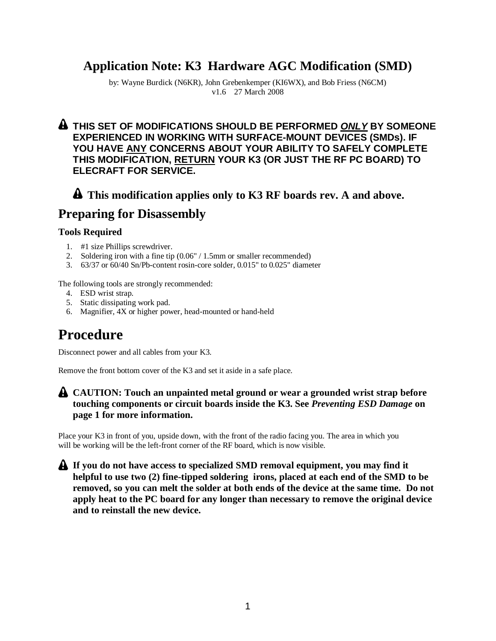## **Application Note: K3 Hardware AGC Modification (SMD)**

by: Wayne Burdick (N6KR), John Grebenkemper (KI6WX), and Bob Friess (N6CM) v1.6 27 March 2008

#### **THIS SET OF MODIFICATIONS SHOULD BE PERFORMED** *ONLY* **BY SOMEONE EXPERIENCED IN WORKING WITH SURFACE-MOUNT DEVICES (SMDs). IF YOU HAVE ANY CONCERNS ABOUT YOUR ABILITY TO SAFELY COMPLETE THIS MODIFICATION, RETURN YOUR K3 (OR JUST THE RF PC BOARD) TO ELECRAFT FOR SERVICE.**

### **This modification applies only to K3 RF boards rev. A and above.**

## **Preparing for Disassembly**

#### **Tools Required**

- 1. #1 size Phillips screwdriver.
- 2. Soldering iron with a fine tip (0.06" / 1.5mm or smaller recommended)
- 3. 63/37 or 60/40 Sn/Pb-content rosin-core solder, 0.015" to 0.025" diameter

The following tools are strongly recommended:

- 4. ESD wrist strap.
- 5. Static dissipating work pad.
- 6. Magnifier, 4X or higher power, head-mounted or hand-held

# **Procedure**

Disconnect power and all cables from your K3.

Remove the front bottom cover of the K3 and set it aside in a safe place.

#### **CAUTION: Touch an unpainted metal ground or wear a grounded wrist strap before touching components or circuit boards inside the K3. See** *Preventing ESD Damage* **on page 1 for more information.**

Place your K3 in front of you, upside down, with the front of the radio facing you. The area in which you will be working will be the left-front corner of the RF board, which is now visible.

**If you do not have access to specialized SMD removal equipment, you may find it helpful to use two (2) fine-tipped soldering irons, placed at each end of the SMD to be removed, so you can melt the solder at both ends of the device at the same time. Do not apply heat to the PC board for any longer than necessary to remove the original device and to reinstall the new device.**